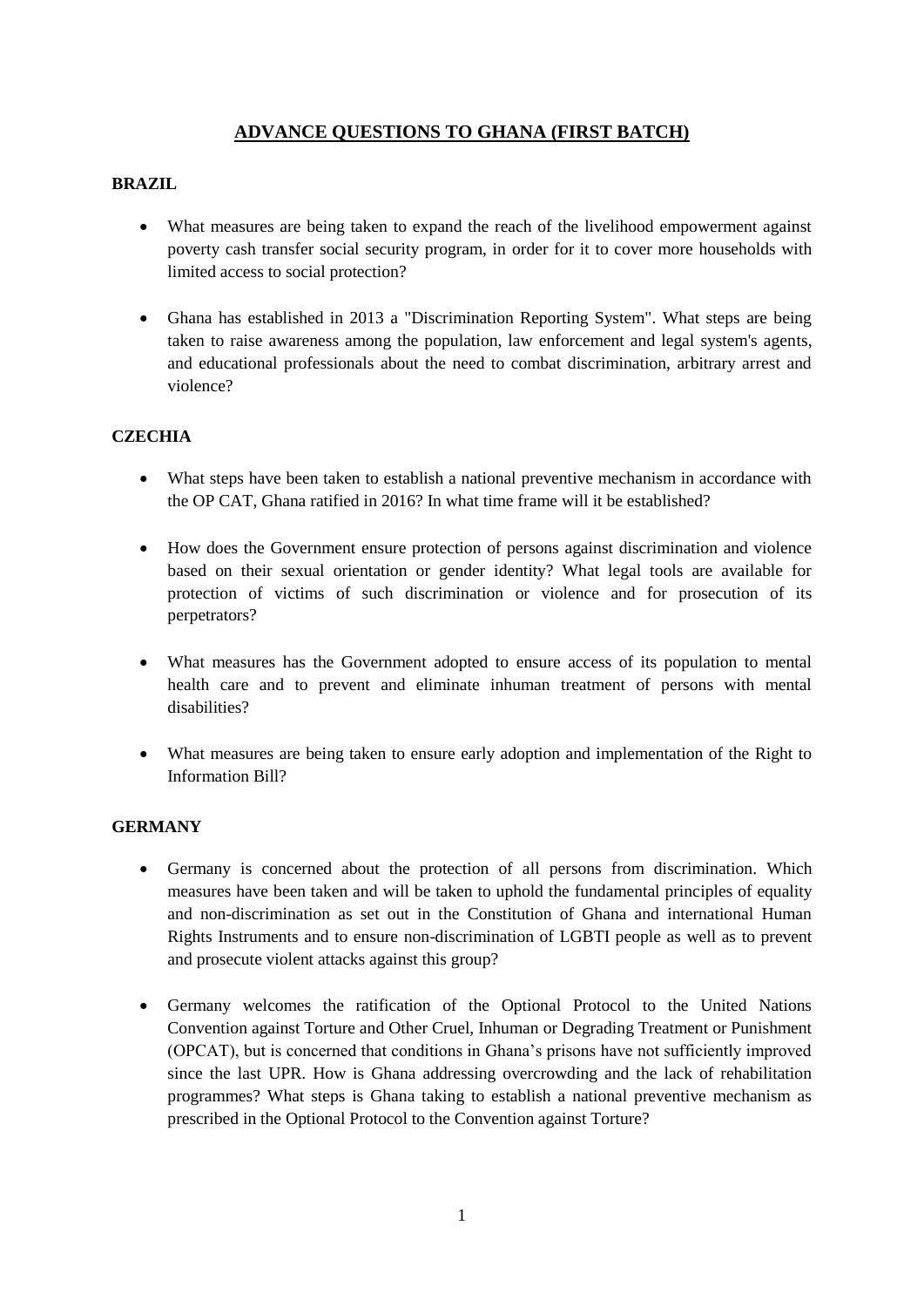# **ADVANCE QUESTIONS TO GHANA (FIRST BATCH)**

### **BRAZIL**

- What measures are being taken to expand the reach of the livelihood empowerment against poverty cash transfer social security program, in order for it to cover more households with limited access to social protection?
- Ghana has established in 2013 a "Discrimination Reporting System". What steps are being taken to raise awareness among the population, law enforcement and legal system's agents, and educational professionals about the need to combat discrimination, arbitrary arrest and violence?

### **CZECHIA**

- What steps have been taken to establish a national preventive mechanism in accordance with the OP CAT, Ghana ratified in 2016? In what time frame will it be established?
- How does the Government ensure protection of persons against discrimination and violence based on their sexual orientation or gender identity? What legal tools are available for protection of victims of such discrimination or violence and for prosecution of its perpetrators?
- What measures has the Government adopted to ensure access of its population to mental health care and to prevent and eliminate inhuman treatment of persons with mental disabilities?
- What measures are being taken to ensure early adoption and implementation of the Right to Information Bill?

#### **GERMANY**

- Germany is concerned about the protection of all persons from discrimination. Which measures have been taken and will be taken to uphold the fundamental principles of equality and non-discrimination as set out in the Constitution of Ghana and international Human Rights Instruments and to ensure non-discrimination of LGBTI people as well as to prevent and prosecute violent attacks against this group?
- Germany welcomes the ratification of the Optional Protocol to the United Nations Convention against Torture and Other Cruel, Inhuman or Degrading Treatment or Punishment (OPCAT), but is concerned that conditions in Ghana's prisons have not sufficiently improved since the last UPR. How is Ghana addressing overcrowding and the lack of rehabilitation programmes? What steps is Ghana taking to establish a national preventive mechanism as prescribed in the Optional Protocol to the Convention against Torture?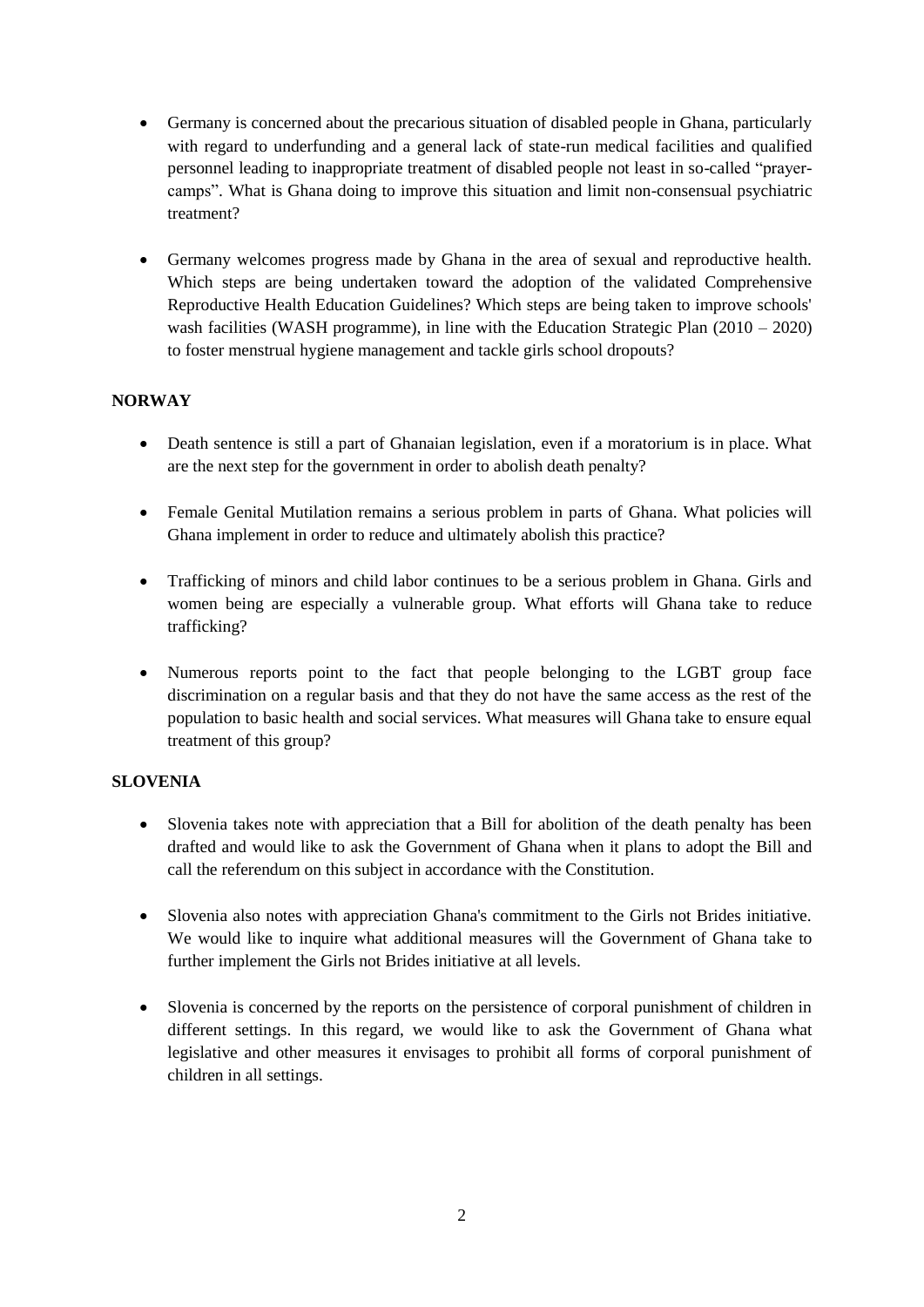- Germany is concerned about the precarious situation of disabled people in Ghana, particularly with regard to underfunding and a general lack of state-run medical facilities and qualified personnel leading to inappropriate treatment of disabled people not least in so-called "prayercamps". What is Ghana doing to improve this situation and limit non-consensual psychiatric treatment?
- Germany welcomes progress made by Ghana in the area of sexual and reproductive health. Which steps are being undertaken toward the adoption of the validated Comprehensive Reproductive Health Education Guidelines? Which steps are being taken to improve schools' wash facilities (WASH programme), in line with the Education Strategic Plan (2010 – 2020) to foster menstrual hygiene management and tackle girls school dropouts?

# **NORWAY**

- Death sentence is still a part of Ghanaian legislation, even if a moratorium is in place. What are the next step for the government in order to abolish death penalty?
- Female Genital Mutilation remains a serious problem in parts of Ghana. What policies will Ghana implement in order to reduce and ultimately abolish this practice?
- Trafficking of minors and child labor continues to be a serious problem in Ghana. Girls and women being are especially a vulnerable group. What efforts will Ghana take to reduce trafficking?
- Numerous reports point to the fact that people belonging to the LGBT group face discrimination on a regular basis and that they do not have the same access as the rest of the population to basic health and social services. What measures will Ghana take to ensure equal treatment of this group?

# **SLOVENIA**

- Slovenia takes note with appreciation that a Bill for abolition of the death penalty has been drafted and would like to ask the Government of Ghana when it plans to adopt the Bill and call the referendum on this subject in accordance with the Constitution.
- Slovenia also notes with appreciation Ghana's commitment to the Girls not Brides initiative. We would like to inquire what additional measures will the Government of Ghana take to further implement the Girls not Brides initiative at all levels.
- Slovenia is concerned by the reports on the persistence of corporal punishment of children in different settings. In this regard, we would like to ask the Government of Ghana what legislative and other measures it envisages to prohibit all forms of corporal punishment of children in all settings.